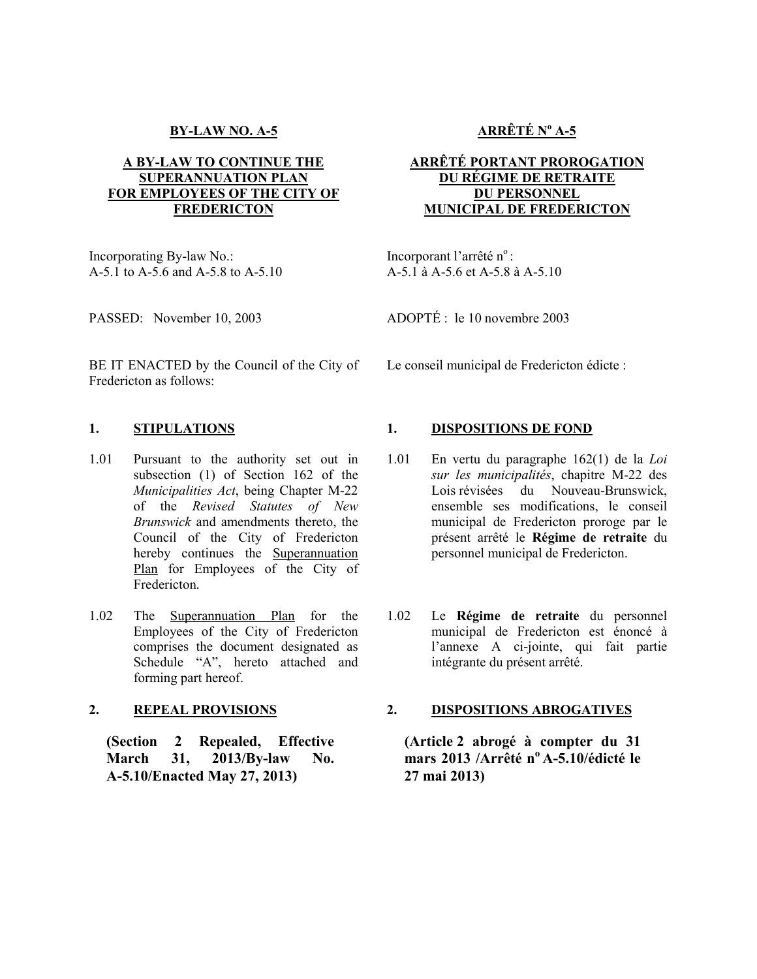# **BY-LAW NO. A-5**

## **A BY-LAW TO CONTINUE THE SUPERANNUATION PLAN FOR EMPLOYEES OF THE CITY OF FREDERICTON**

Incorporating By-law No.: A-5.1 to A-5.6 and A-5.8 to A-5.10

PASSED: November 10, 2003

BE IT ENACTED by the Council of the City of Fredericton as follows:

- 1.01 Pursuant to the authority set out in subsection (1) of Section 162 of the *Municipalities Act*, being Chapter M-22 of the *Revised Statutes of New Brunswick* and amendments thereto, the Council of the City of Fredericton hereby continues the Superannuation Plan for Employees of the City of Fredericton.
- 1.02 The Superannuation Plan for the Employees of the City of Fredericton comprises the document designated as Schedule "A", hereto attached and forming part hereof.

## **2. REPEAL PROVISIONS**

**(Section 2 Repealed, Effective March 31, 2013/By-law No. A-5.10/Enacted May 27, 2013)** 

# **ARRÊTÉ N<sup>o</sup> A-5**

## **ARRÊTÉ PORTANT PROROGATION DU RÉGIME DE RETRAITE DU PERSONNEL MUNICIPAL DE FREDERICTON**

Incorporant l'arrêté n°: A-5.1 à A-5.6 et A-5.8 à A-5.10

ADOPTÉ : le 10 novembre 2003

Le conseil municipal de Fredericton édicte :

## 1. **STIPULATIONS** 1. **DISPOSITIONS DE FOND**

- 1.01 En vertu du paragraphe 162(1) de la *Loi sur les municipalités*, chapitre M-22 des Lois révisées du Nouveau-Brunswick, ensemble ses modifications, le conseil municipal de Fredericton proroge par le présent arrêté le **Régime de retraite** du personnel municipal de Fredericton.
- 1.02 Le **Régime de retraite** du personnel municipal de Fredericton est énoncé à l'annexe A ci-jointe, qui fait partie intégrante du présent arrêté.

#### **2. DISPOSITIONS ABROGATIVES**

**(Article 2 abrogé à compter du 31 mars 2013 /Arrêté n<sup>o</sup>A-5.10/édicté le 27 mai 2013)**